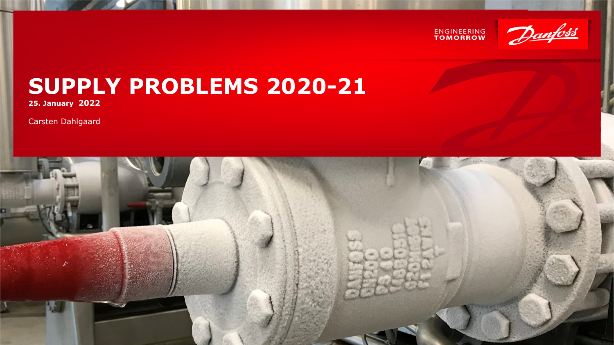



## **SUPPLY PROBLEMS 2020-21**

**25. January 2022**

Carsten Dahlgaard

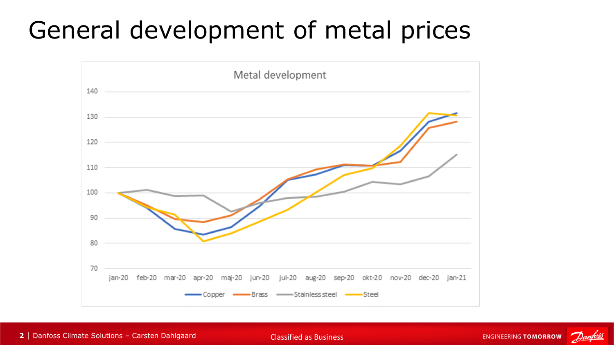# General development of metal prices



**2** | Danfoss Climate Solutions – Carsten Dahlgaard Classified as Business

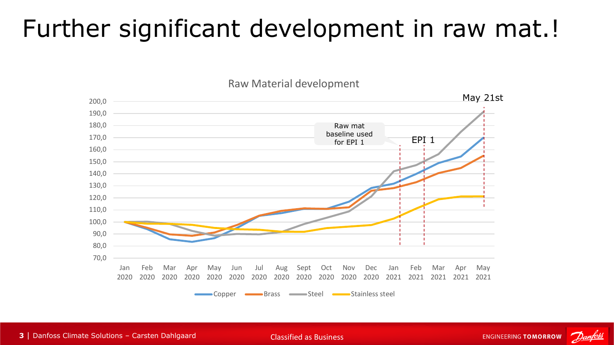## Further significant development in raw mat.!

Raw Material development



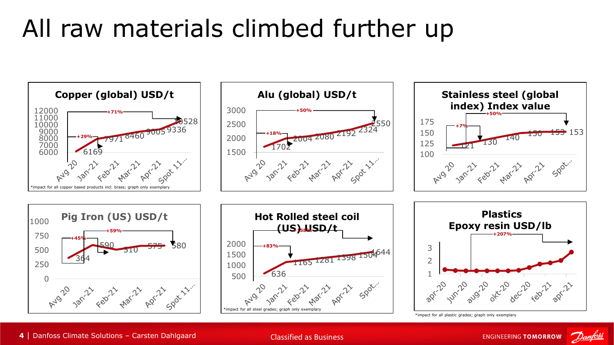# All raw materials climbed further up



| Danfoss Climate Solutions – Carsten Dahlgaard Classified as Business

**ENGINEERING TOMORROW**